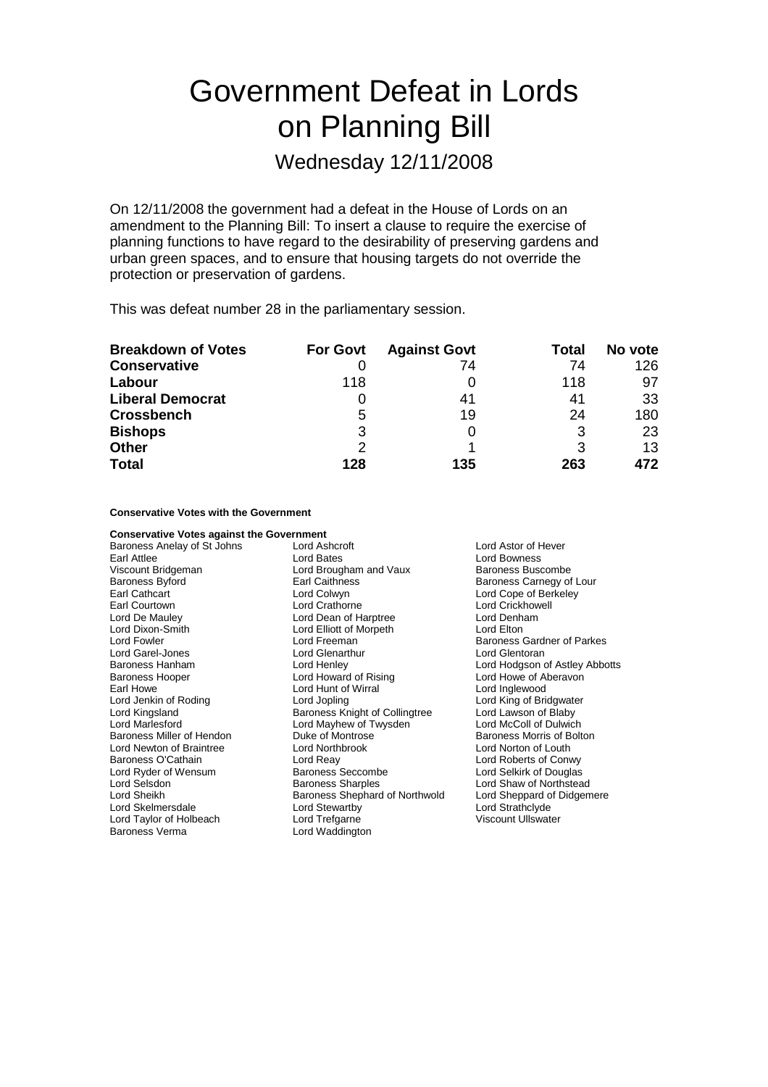# Government Defeat in Lords on Planning Bill

Wednesday 12/11/2008

On 12/11/2008 the government had a defeat in the House of Lords on an amendment to the Planning Bill: To insert a clause to require the exercise of planning functions to have regard to the desirability of preserving gardens and urban green spaces, and to ensure that housing targets do not override the protection or preservation of gardens.

This was defeat number 28 in the parliamentary session.

| <b>Breakdown of Votes</b> | <b>For Govt</b> | <b>Against Govt</b> | Total | No vote |
|---------------------------|-----------------|---------------------|-------|---------|
| <b>Conservative</b>       |                 | 74                  | 74    | 126     |
| Labour                    | 118             |                     | 118   | 97      |
| <b>Liberal Democrat</b>   |                 | 41                  | 41    | -33     |
| <b>Crossbench</b>         | 5               | 19                  | 24    | 180     |
| <b>Bishops</b>            | 3               |                     | 3     | 23      |
| <b>Other</b>              | 2               |                     |       | 13      |
| <b>Total</b>              | 128             | 135                 | 263   | 472     |

**Conservative Votes with the Government**

| <b>Conservative Votes against the Government</b> |                                |                                   |  |
|--------------------------------------------------|--------------------------------|-----------------------------------|--|
| Baroness Anelay of St Johns                      | Lord Ashcroft                  | Lord Astor of Hever               |  |
| Earl Attlee                                      | Lord Bates                     | Lord Bowness                      |  |
| Viscount Bridgeman                               | Lord Brougham and Vaux         | Baroness Buscombe                 |  |
| <b>Baroness Byford</b>                           | Earl Caithness                 | Baroness Carnegy of Lour          |  |
| Earl Cathcart                                    | Lord Colwyn                    | Lord Cope of Berkeley             |  |
| Earl Courtown                                    | Lord Crathorne                 | Lord Crickhowell                  |  |
| Lord De Mauley                                   | Lord Dean of Harptree          | Lord Denham                       |  |
| Lord Dixon-Smith                                 | Lord Elliott of Morpeth        | Lord Elton                        |  |
| Lord Fowler                                      | Lord Freeman                   | <b>Baroness Gardner of Parkes</b> |  |
| Lord Garel-Jones                                 | Lord Glenarthur                | Lord Glentoran                    |  |
| Baroness Hanham                                  | Lord Henley                    | Lord Hodgson of Astley Abbotts    |  |
| <b>Baroness Hooper</b>                           | Lord Howard of Rising          | Lord Howe of Aberavon             |  |
| Earl Howe                                        | Lord Hunt of Wirral            | Lord Inglewood                    |  |
| Lord Jenkin of Roding                            | Lord Jopling                   | Lord King of Bridgwater           |  |
| Lord Kingsland                                   | Baroness Knight of Collingtree | Lord Lawson of Blaby              |  |
| Lord Marlesford                                  | Lord Mayhew of Twysden         | Lord McColl of Dulwich            |  |
| Baroness Miller of Hendon                        | Duke of Montrose               | Baroness Morris of Bolton         |  |
| Lord Newton of Braintree                         | Lord Northbrook                | Lord Norton of Louth              |  |
| Baroness O'Cathain                               | Lord Reay                      | Lord Roberts of Conwy             |  |
| Lord Ryder of Wensum                             | Baroness Seccombe              | Lord Selkirk of Douglas           |  |
| Lord Selsdon                                     | <b>Baroness Sharples</b>       | Lord Shaw of Northstead           |  |
| Lord Sheikh                                      | Baroness Shephard of Northwold | Lord Sheppard of Didgemere        |  |
| Lord Skelmersdale                                | Lord Stewartby                 | Lord Strathclyde                  |  |
| Lord Taylor of Holbeach                          | Lord Trefgarne                 | <b>Viscount Ullswater</b>         |  |
| <b>Baroness Verma</b>                            | Lord Waddington                |                                   |  |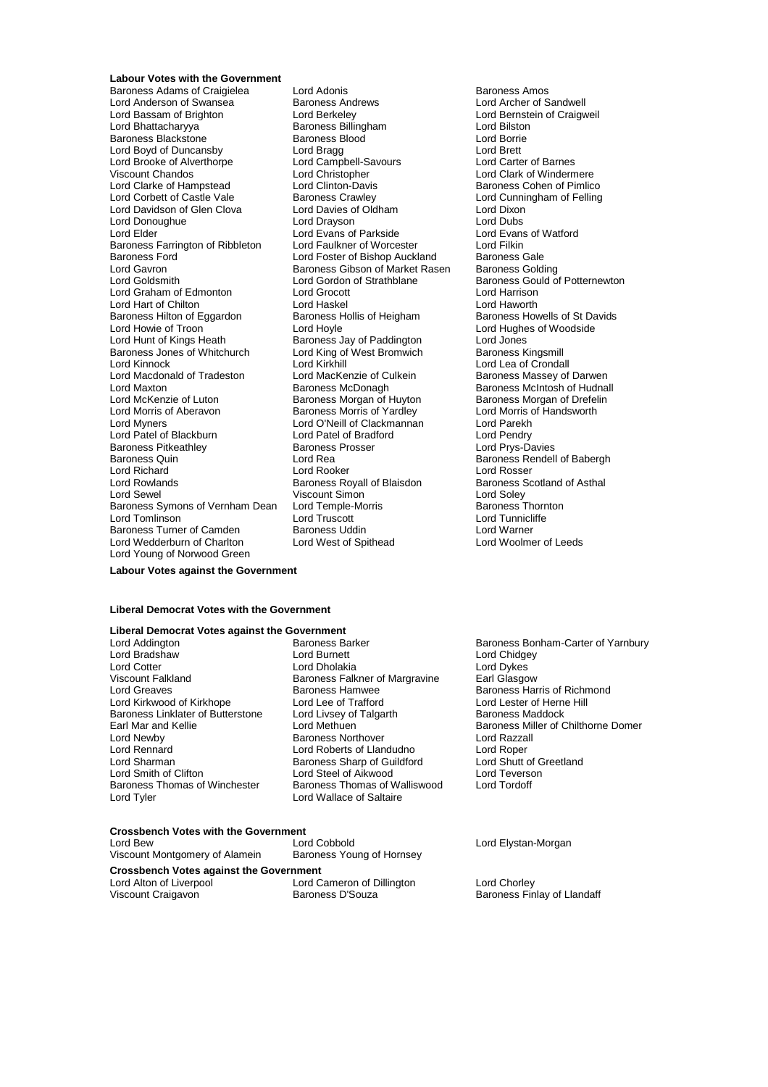### **Labour Votes with the Government**

Lord Anderson of Swansea<br>
Lord Bassam of Brighton<br>
Lord Berkeley Lord Bassam of Brighton **Lord Berkeley** Lord Bernstein of Craigweil<br>
Lord Bhattacharvva **Collact Bernet Bernet Bernstein Collact Lord Bilston** erstander Baroness Blood Baroness Blood Cord Borrie<br>
Baroness Blackstone Lord Baroness Blood<br>
Lord Bord Brett Lord Brett Lord Boyd of Duncansby Lord Bragg Lord Brett Lord Brooke of Alverthorpe Lord Campbell-Savourt Chandos<br>
Viscount Chandos Lord Christopher Viscount Chandos<br>
Lord Clarke of Hampstead<br>
Lord Clutton-Davis
Lord Clarke of Hampstead
Lord Clinton-Davis
Lord Clarke of Hemlico Lord Clarke of Hampstead Lord Clinton-Davis **Baroness Cohen of Pimlico**<br>
Lord Corbett of Castle Vale Baroness Crawley **Baroness Crawley** Lord Cunningham of Felling Lord Davidson of Glen Clova Lord Davies of Oldham Lord Dixon Lord Donoughue Lord Drayson Lord Dubs Baroness Farrington of Ribbleton Lord Faulkner of Worcester Lord Filkin<br>Baroness Ford Cord Lord Foster of Bishop Auckland Baroness Gale Baroness Ford **Exercise Seart Corporation**<br>Lord Gavron Lord Foster of Bishop Auckland Baroness Golding<br>Lord Gavron Baroness Golding Baroness Golding Lord Gavron **Baroness Gibson of Market Rasen**<br>Baroness Gibson of Market Rasen Baroness Gording Strathblane Lord Graham of Edmonton Lord Grocott Lord Harrison Lord Hart of Chilton **Lord Haskel** Lord Haskel Lord Haworth Lord Haworth<br>Baroness Hilton of Eggardon Baroness Hollis of Heigham Baroness Howells of St Davids Baroness Hilton of Eggardon Lord Howie of Troon Lord Hoyle Lord Hoyle Lord Hughes of Woodside<br>
Lord Hunt of Kings Heath Baroness Jav of Paddington Lord Jones Lord Hunt of Kings Heath **Baroness Jay of Paddington** Lord Jones<br>Baroness Jones of Whitchurch Lord King of West Bromwich Baroness Kingsmill Baroness Jones of Whitchurch Lord King of West Bromwich<br>Lord Kinnock Baroness Baroness Baroness Baroness Baroness Baroness Lord Kinnock Lord Kirkhill Lord Lea of Crondall Lord Macdonald of Tradeston Lord MacKenzie of Culkein Baroness Massey of Darwen<br>Lord Maxton Baroness McDonagh Baroness McDonagh Baroness McIntosh of Hudnal Lord Maxton **Baroness McDonagh** Baroness Mchtosh of Hudnall<br>Lord McKenzie of Luton **Baroness Morgan of Huyton** Baroness Morgan of Drefelin Lord Morris of Aberavon Baroness Morris of Yardley Lord Myners Lord O'Neill of Clackmannan Lord Parekh Lord Patel of Blackburn Lord Patel of Bradford Lord Pendry Baroness Pitkeathley<br>Baroness Quin Lord Richard **Lord Rooker**<br>
Lord Rowlands **Lord Rowlands**<br>
Lord Rowlands **Lord Rowlands** Lord Sewel Viscount Simon<br>Baroness Symons of Vernham Dean Lord Temple-Morris Baroness Symons of Vernham Dean Lord Temple-Morris **Baroness Thorn**<br>
Lord Tomlinson **Lord Truscott** Lord Truscott Lord Tunnicliffe Lord Tomlinson Lord Truscott Lord Truscott Lord Tunnicli<br>
Baroness Turner of Camden Baroness Uddin Lord Warner Baroness Turner of Camden Baroness Uddin Numer Lord Warner Lord Warner<br>
Lord Wedderburn of Charlton Lord West of Spithead Lord Lord Woolmer of Leeds Lord Wedderburn of Charlton Lord Young of Norwood Green

Baroness Adams of Craigielea Lord Adonis Communication Baroness Amos<br>
Lord Anderson of Swansea Baroness Andrews Corp Lord Archer of Sandwell Lord Bhattacharyya Baroness Billingham Lord Bilston Baroness Crawley **Corpe Corpe Corpe Baroness Crawley Corpe Baroness Crawley Corpe Baroness Crawley Corpe Corpe Corpe Corpe Corpe Corpe Corpe Corpe Corpe Corpe Corpe Corpe Corpe Corpe Corpe Corpe Corpe Corpe Corpe Corpe Cor** Lord Evans of Parkside Lord Evans<br>
Lord Faulkner of Worcester Lord Filkin Lord Gordon of Strathblane Baroness Gould of Potternewton<br>Lord Gordon of Strathblane Baroness Gould of Potternewton Lord Rea Baroness Rendell of Babergh<br>
Lord Rooker Lord Rosser

# Baroness Morgan of Drefelin<br>Lord Morris of Handsworth Baroness Scotland of Asthal<br>Lord Soley<br>Baroness Thornton

### **Labour Votes against the Government**

### **Liberal Democrat Votes with the Government**

# **Liberal Democrat Votes against the Government**

Lord Bradshaw Lord Burnett Lord Chidgey Lord Cotter Lord Dives Lord Dholakia<br>1991 - Lord Dykes Lord Dives Lord Dives Lord Dives Land Clasgow<br>2 Lord Baroness Falkner of Margravine Land Clasgow Lord Greaves **Baroness Hamwee** Baroness Hamwee Baroness Harris of Richmond<br>
Lord Kirkwood of Kirkhope Lord Lee of Trafford **Baroness Harris of Herne Hill** Lord Kirkwood of Kirkhope Lord Lee of Trafford Lord Lester of Herne Herne Baroness Lord Lester of Herne Herne H<br>Baroness Linklater of Butterstone Lord Livsey of Talgarth Baroness Maddock Baroness Linklater of Butterstone Lord Livsey of<br>Earl Mar and Kellie **Baroness Maddon** Lord Newby **Baroness Northover** Cord Razza<br>
Lord Rennard **Cord Roberts of Llandudno** Lord Rober Lord Rennard Lord Roberts of Llandudno Lord Roper Lord Sharman **Baroness Sharp of Guildford** Lord Shutt of Guildford Lord Shutt of Guildford Lord Shutt of G<br>Lord Smith of Clifton **Baroness Sharp of Alkwood** Lord Teverson Lord Smith of Clifton Lord Steel of Aikwood<br>Baroness Thomas of Winchester Baroness Thomas of V

Baroness Falkner of Margravine Baroness Thomas of Winchester Baroness Thomas of Walliswood Lord Tordoff<br>
Lord Tordoff Lord Wallace of Saltaire Lord Wallace of Saltaire

Baroness Bonham-Carter of Yarnbury<br>Lord Chidgey Earl Mar and Kellie **Earl Mar and Kellie Lord Methuen** Baroness Miller of Chilthorne Domer<br>
Lord Newby **Baroness Northover** Baroness Northover Lord Razzall

## **Crossbench Votes with the Government**<br>Lord Bew

| Lord Bew                                       | Lord Cobbold               | Lord Elystan-Morgan         |
|------------------------------------------------|----------------------------|-----------------------------|
| Viscount Montgomery of Alamein                 | Baroness Young of Hornsey  |                             |
| <b>Crossbench Votes against the Government</b> |                            |                             |
| Lord Alton of Liverpool                        | Lord Cameron of Dillington | Lord Chorley                |
| Viscount Craigavon                             | Baroness D'Souza           | Baroness Finlay of Llandaff |